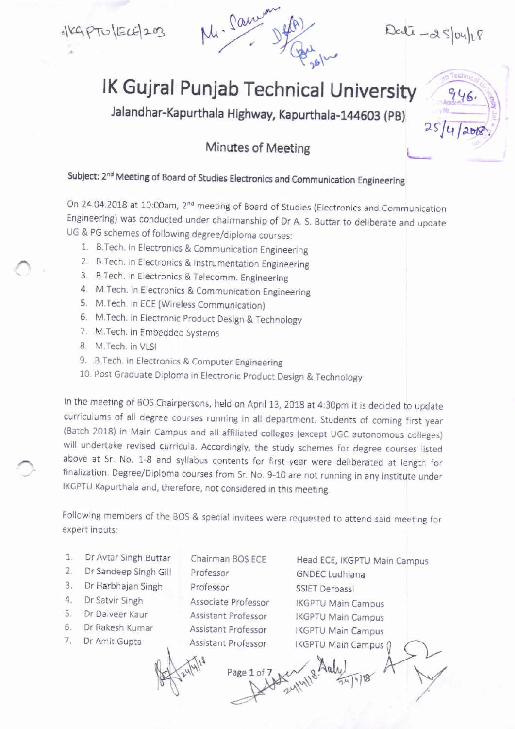

 $Delta - \alpha$  slouled

 $R_{\text{R}}$ 

 $254/200$ 

## lK Gujral Punjab Technical University

Jalandhar-Kapurthala Highway, Kapurthala-1214603 (pB)

## Minutes of Meeting

## Subject: 2<sup>nd</sup> Meeting of Board of Studies Electronics and Communication Engineering

On 24.04.2018 at 10:00am, 2<sup>nd</sup> meeting of Board of Studies (Electronics and Communication Engineering) was conducted under chairmanship of Dr A. S. Buttar to deliberate and update UG & PG schemes of following degree/diploma courses:

- 1. B.Tech. in Electronics & Communication Engineering
- 2. B.Tech. in Electronics & Instrumentation Engineering
- 3. B.Tech. in Electronics & Telecomm. Engineering
- 4. M.Tech. in Electronics & Communication Engineering
- 5. M.Tech. in ECE (Wireless Communjcation)
- 6. M. Tech. in Electronic Product Design & Technology
- 7. M.Tech. in Fmbedded Systems
- 8. M.Tech. in VLSI
- 9. B.Tech. in Electronics & Computer Engineering
- 10. Post Graduate Diploma in Electronic Product Design & Technology

In the meeting of BOS Chairpersons, held on April 13, 2018 at 4:30pm it is decided to update curriculums of all degree courses running in all department. Students of coming first year (Batch 2018) in Main Campus and all affiliated colleges (except UGC autonomous colleges) will undertake revised curricula. Accordingly, the study schemes for degree courses listed above at Sr. No. 1-8 and syllabus contents for first year were deliberated at length for finalization. Degree/Diploma courses from Sr. No. 9-10 are not running in any institute under IKGPTU Kapurthala and, therefore, not considered in this meeting.

Following members of the BOS & special invitees were requested to attend said meeting for expert inputs:

- I Dr Avtar Singh Buttar
- 2. Dr Sandeep Singh Gill
- 3. Dr Harbhajan Singh
- 4 Dr Satvir Singh
- 5. Dr Dalveer Kaur
- 6. Dr Rakesh Kumar
- 7. Dr Amit Gupta

Chairman BOS ECE Professor Professor Associate Professor Assistant Professor Assistant Professor Assistant Professor

Head ECE, IKGPTU Main Campus GNDEC Ludhiana SSIET Derbassi IKGPTU Main Campus IKGPTU Main Campus IKGPTU Main Campus

Page 1 of 7  $\frac{1}{24}$  y 18/18/18

 $\frac{1}{8}$  Aaly  $\frac{1}{10}$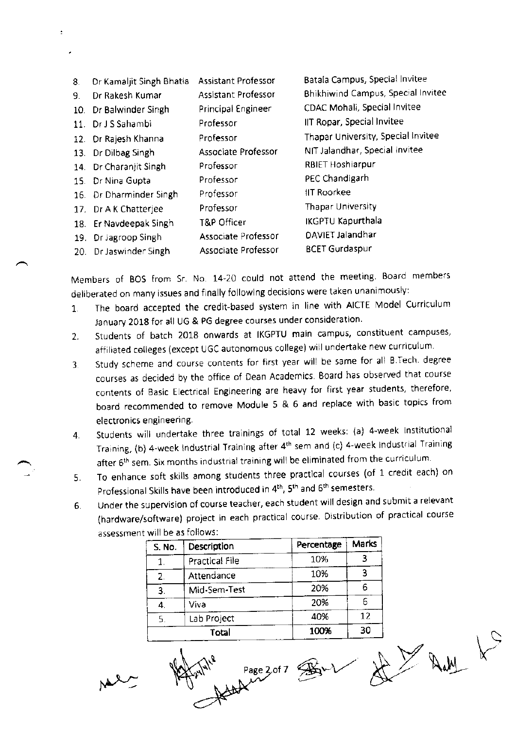| 8.              | Dr Kamaljit Singh Bhatia | <b>Assistant Professor</b> | Batala Campus, Special Invitee     |
|-----------------|--------------------------|----------------------------|------------------------------------|
| 9.              | Dr Rakesh Kumar          | <b>Assistant Professor</b> | Bhikhiwind Campus, Special Invitee |
| 10.             | Dr Balwinder Singh       | <b>Principal Engineer</b>  | CDAC Mohali, Special Invitee       |
|                 | 11. Dr J S Sahambi       | Professor                  | IIT Ropar, Special Invitee         |
|                 | 12. Dr Rajesh Khanna     | Professor                  | Thapar University, Special Invitee |
|                 | 13. Dr Dilbag Singh      | Associate Professor        | NIT Jalandhar, Special Invitee     |
|                 | 14. Dr Charanjit Singh   | Professor                  | <b>RBIET Hoshiarpur</b>            |
| 15 <sub>1</sub> | Dr Nina Gupta            | Professor                  | PEC Chandigarh                     |
|                 | 16. Dr Dharminder Singh  | Professor                  | <b>IIT Roorkee</b>                 |
|                 | 17. Dr A K Chatterjee    | Professor                  | <b>Thapar University</b>           |
| 18.             | Er Navdeepak Singh       | T&P Officer                | <b>IKGPTU Kapurthala</b>           |
|                 | 19. Dr Jagroop Singh     | Associate Professor        | DAVIET Jalandhar                   |
| 20.             | Dr Jaswinder Singh       | Associate Professor        | <b>BCET Gurdaspur</b>              |
|                 |                          |                            |                                    |

Members of BOS from Sr. No. 14-20 could not attend the meeting. Board members deliberated on many issues and finally following decisions were taken unanimously:

- 1. The board accepted the credit-based system in line with AICTE Model Curriculum January 2018 for all UG & PG degree courses under consideration.
- 2. Students of batch 2018 onwards at IKGPTU main campus, constituent campuses, affiliated celleges (except UGC autonomous college) will undertake new curriculum.
- 3. Study scheme and course contents for first year will be same for all B.Tech. degree courses as decided by the office of Dean Academics Board has observed that course contents of Basic Electrical Engineering are heavy for first year students, therefore, board recommended to remove Module 5 & 6 and replace with basic topics from electronics engineering.
- 4. Students will undertake three trainings of total 12 weeks: (a) 4-week Institutional Training, (b) 4-week industrial Training after 4<sup>th</sup> sem and (c) 4-week Industrial Training after 6<sup>th</sup> sem. Six months industrial training will be eliminated from the curriculum.
- 5. To enhance soft skills among students three practical courses (of 1 credit each) on Professional Skills have been introduced in 4<sup>th</sup>, 5<sup>th</sup> and 6<sup>th</sup> semesters.
- 6. Under the supervision of course teacher, each student will design and submit a relevant (hardware/software) project in each practical course. Distribution of practical course assessment will be as follows:

| S. No. | Description           | Percentage | Marks |
|--------|-----------------------|------------|-------|
|        | <b>Practical File</b> | 10%        |       |
| 2.     | Attendance            | 10%        |       |
| 3.     | Mid-Sem-Test          | 20%        | h     |
|        | Viva                  | 20%        |       |
| 5.     | Lab Project           | 40%        | 12    |
|        | Total                 | 100%       | 30    |

 $\overline{\mathbb{C}}$ 

 $M^2$  ,  $M^4$  ,  $Pase 2 of 7$  ,  $M^2$ 

 $Q_{1}$  $L \times X$  in  $k$  $A$